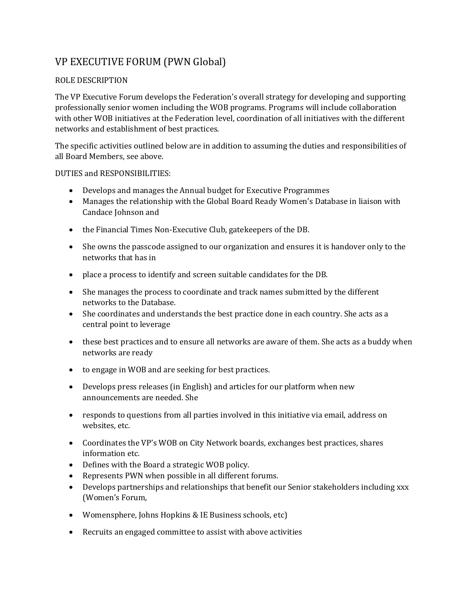## VP EXECUTIVE FORUM (PWN Global)

## ROLE DESCRIPTION

The VP Executive Forum develops the Federation's overall strategy for developing and supporting professionally senior women including the WOB programs. Programs will include collaboration with other WOB initiatives at the Federation level, coordination of all initiatives with the different networks and establishment of best practices.

The specific activities outlined below are in addition to assuming the duties and responsibilities of all Board Members, see above.

## DUTIES and RESPONSIBILITIES:

- Develops and manages the Annual budget for Executive Programmes
- Manages the relationship with the Global Board Ready Women's Database in liaison with Candace Johnson and
- the Financial Times Non-Executive Club, gatekeepers of the DB.
- She owns the passcode assigned to our organization and ensures it is handover only to the networks that has in
- place a process to identify and screen suitable candidates for the DB.
- She manages the process to coordinate and track names submitted by the different networks to the Database.
- She coordinates and understands the best practice done in each country. She acts as a central point to leverage
- these best practices and to ensure all networks are aware of them. She acts as a buddy when networks are ready
- to engage in WOB and are seeking for best practices.
- Develops press releases (in English) and articles for our platform when new announcements are needed. She
- responds to questions from all parties involved in this initiative via email, address on websites, etc.
- Coordinates the VP's WOB on City Network boards, exchanges best practices, shares information etc.
- Defines with the Board a strategic WOB policy.
- Represents PWN when possible in all different forums.
- Develops partnerships and relationships that benefit our Senior stakeholders including xxx (Women's Forum,
- Womensphere, Johns Hopkins & IE Business schools, etc)
- Recruits an engaged committee to assist with above activities